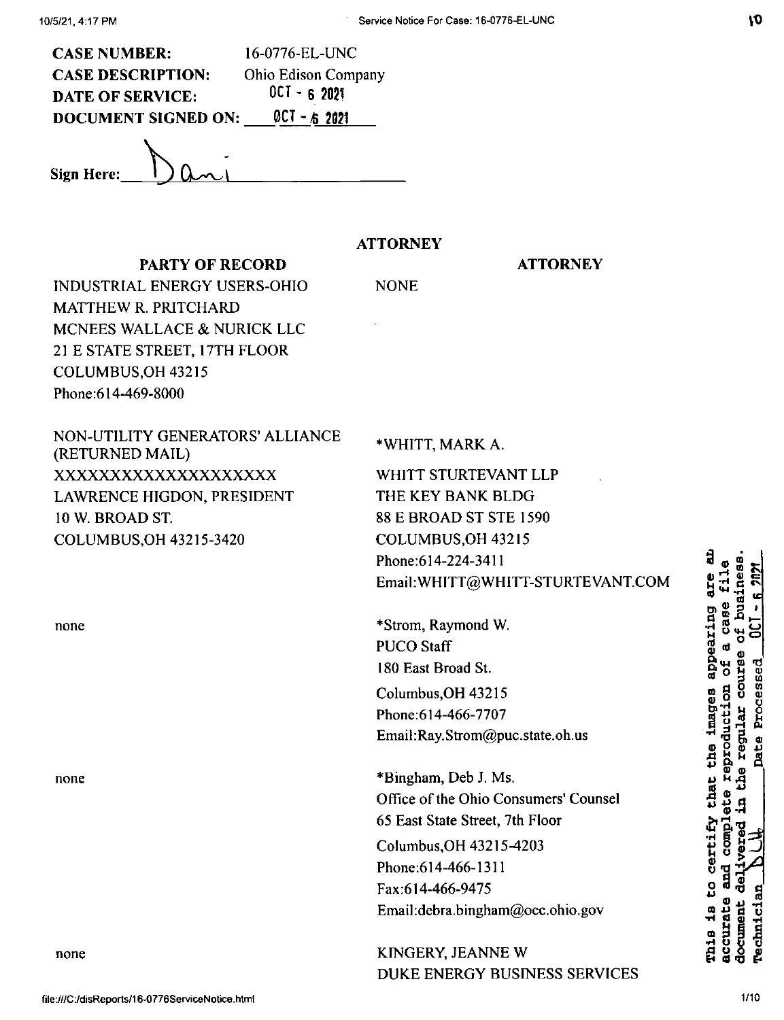| <b>CASE NUMBER:</b>        | 16-0776-EL-UNC             |
|----------------------------|----------------------------|
| <b>CASE DESCRIPTION:</b>   | <b>Ohio Edison Company</b> |
| <b>DATE OF SERVICE:</b>    | $0CI - 62021$              |
| <b>DOCUMENT SIGNED ON:</b> | $QCI - 62021$              |
|                            |                            |

PARTY OF RECORD

**Sign Here:**

# **ATTORNEY**

NONE

## **ATTORNEY**

INDUSTRIAL ENERGY USERS-OHIO MATTHEW R. PRITCHARD MCNEES WALLACE & NURICK LLC 21 E STATE STREET, 17TH FLOOR COLUMBUS,OH 43215 Phone:614-469-8000

| NON-UTILITY GENERATORS' ALLIANCE<br>(RETURNED MAIL) | *WHITT, MARK A.                       |
|-----------------------------------------------------|---------------------------------------|
| XXXXXXXXXXXXXXXXXXX                                 | WHITT STURTEVANT LLP                  |
| LAWRENCE HIGDON, PRESIDENT                          | THE KEY BANK BLDG                     |
| 10 W. BROAD ST.                                     | <b>88 E BROAD ST STE 1590</b>         |
| COLUMBUS, OH 43215-3420                             | COLUMBUS, OH 43215                    |
|                                                     | Phone: 614-224-3411                   |
|                                                     | Email: WHITT@WHITT-STURTEVANT.COM     |
| none                                                | *Strom, Raymond W.                    |
|                                                     | <b>PUCO Staff</b>                     |
|                                                     | 180 East Broad St.                    |
|                                                     | Columbus, OH 43215                    |
|                                                     | Phone: 614-466-7707                   |
|                                                     | Email:Ray.Strom@puc.state.oh.us       |
| none                                                | *Bingham, Deb J. Ms.                  |
|                                                     | Office of the Ohio Consumers' Counsel |
|                                                     | 65 East State Street, 7th Floor       |
|                                                     | Columbus, OH 43215-4203               |
|                                                     | Phone: 614-466-1311                   |
|                                                     | Fax:614-466-9475                      |
|                                                     | Email:debra.bingham@occ.ohio.gov      |
| none                                                | KINGERY, JEANNE W                     |
|                                                     | DUKE ENERGY BUSINESS SERVICES         |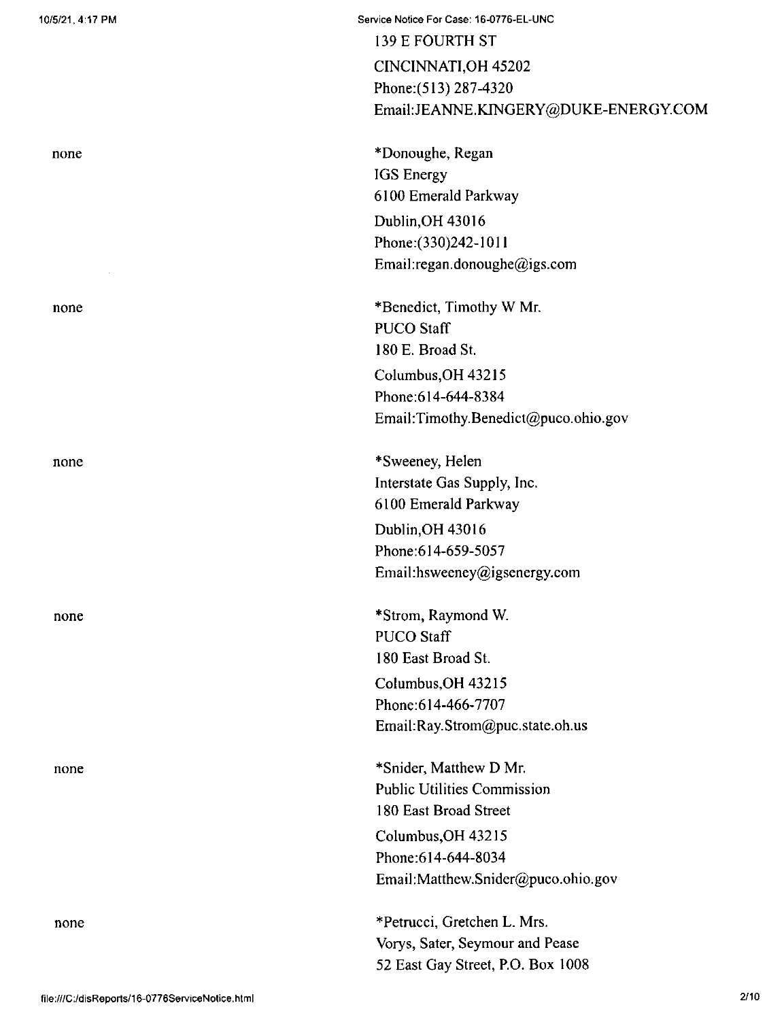| 10/5/21, 4:17 PM | Service Notice For Case: 16-0776-EL-UNC |
|------------------|-----------------------------------------|
|                  | 139 E FOURTH ST                         |
|                  | CINCINNATI, OH 45202                    |
|                  | Phone: (513) 287-4320                   |
|                  | Email:JEANNE.KINGERY@DUKE-ENERGY.COM    |
| none             | *Donoughe, Regan                        |
|                  | IGS Energy                              |
|                  | 6100 Emerald Parkway                    |
|                  | Dublin, OH 43016                        |
|                  | Phone: (330) 242-1011                   |
|                  | Email:regan.donoughe@igs.com            |
| none             | *Benedict, Timothy W Mr.                |
|                  | <b>PUCO Staff</b>                       |
|                  | 180 E. Broad St.                        |
|                  | Columbus, OH 43215                      |
|                  | Phone: 614-644-8384                     |
|                  | Email:Timothy.Benedict@puco.ohio.gov    |
| none             | *Sweeney, Helen                         |
|                  | Interstate Gas Supply, Inc.             |
|                  | 6100 Emerald Parkway                    |
|                  | Dublin, OH 43016                        |
|                  | Phone:614-659-5057                      |
|                  | Email:hsweeney@igsenergy.com            |
| none             | *Strom, Raymond W.                      |
|                  | <b>PUCO Staff</b>                       |
|                  | 180 East Broad St.                      |
|                  | Columbus, OH 43215                      |
|                  | Phone: 614-466-7707                     |
|                  | Email:Ray.Strom@puc.state.oh.us         |
| none             | *Snider, Matthew D Mr.                  |
|                  | <b>Public Utilities Commission</b>      |
|                  | 180 East Broad Street                   |
|                  | Columbus, OH 43215                      |
|                  | Phone: 614-644-8034                     |
|                  | Email:Matthew.Snider@puco.ohio.gov      |
| none             | *Petrucci, Gretchen L. Mrs.             |
|                  | Vorys, Sater, Seymour and Pease         |
|                  | 52 East Gay Street, P.O. Box 1008       |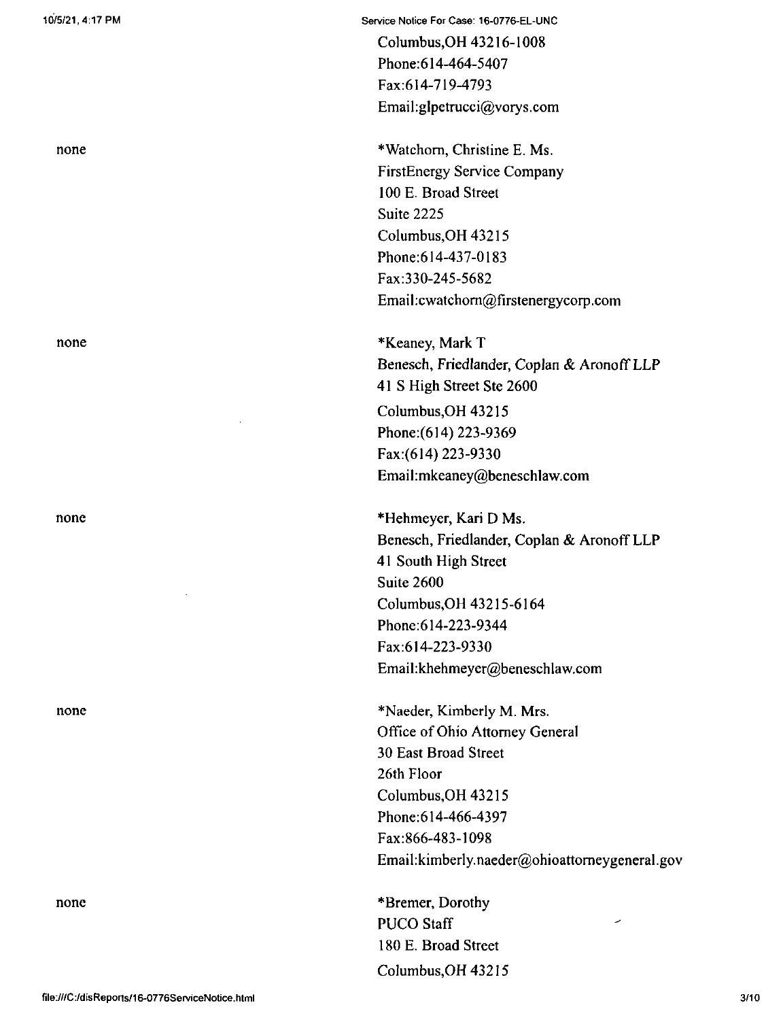none

none

none

none

Service Notice For Case: 16-0776-EL-UNC

Columbus,OH 43216-1008 Phone:614-464-5407 Fax:614-719-4793 Email:glpetrucci@vorys.com

\*Watchom, Christine E. Ms. FirstEnergy Service Company 100 E. Broad Street Suite 2225 Columbus,OH 43215 Phone:614-437-0183 Fax:330-245-5682 Email:cwatchom@firstenergycorp.com

\*Keaney, Mark T Benesch, Friedlander, Coplan & Aronoff LLP 41 S High Street Ste 2600 Columbus,OH 43215 Phone:(614) 223-9369 Fax:(6i4) 223-9330 Email:mkeaney@beneschlaw.com

\*Hehmeyer, Kari D Ms. Benesch, Friedlander, Coplan & Aronoff LLP 41 South High Street Suite 2600 Columbus,OH 43215-6164 Phone:614-223-9344 Fax:614-223-9330 Email:khehmeyer@beneschlaw.com

\*Naeder, Kimberly M. Mrs. Office of Ohio Attorney General 30 East Broad Street 26th Floor Columbus,OH 43215 Phone:614-466-4397 Fax:866-483-1098 Email:kimberly.naeder@ohioattomeygeneral.gov

Columbus,OH 43215 \*Bremer, Dorothy PUCO Staff 180 E. Broad Street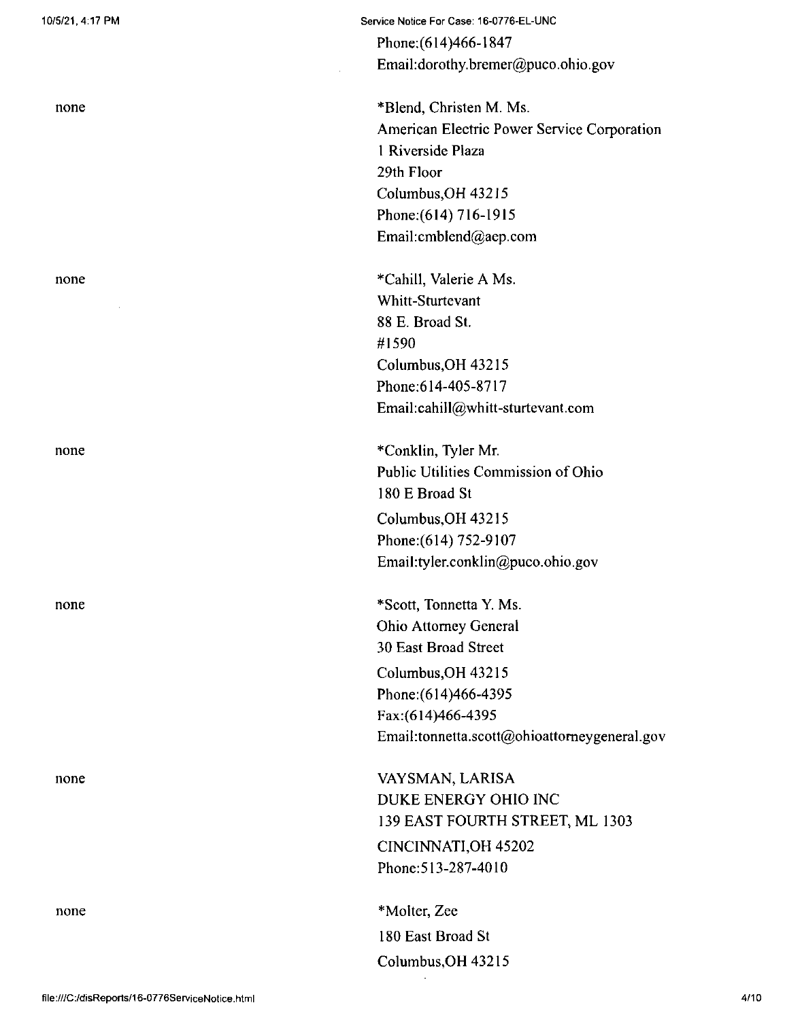none

none

none

none

none

Phone;(614)466-1847 Email:dorothy.bremer@puco.ohio.gov

\*Blend, Christen M. Ms. American Electric Power Service Corporation <sup>1</sup> Riverside Plaza 29th Floor Columbus,OH 43215 Phone;(614) 716-1915 Email:cmblend@aep.com

♦Cahill, Valerie A Ms. Whitt-Sturtevant 88 E, Broad St. #1590 Columbus,OH 43215 Phone;614-405-8717 Email:cahill@whitt-sturtevant.com

\*Conklin, Tyler Mr. Public Utilities Commission of Ohio 180 E Broad St Columbus,OH 43215 Phone:(614) 752-9107 Email:tyler.conklin@puco.ohio.gov

\*Scott, Tonnetta Y. Ms. Ohio Attorney General 30 East Broad Street Columbus,OH 43215 Phone:(614)466-4395 Fax:(614)466-4395 Email:tonnetta.scott@ohioattorneygeneral.gov

VAYSMAN, LARISA DUKE ENERGY OHIO INC 139 EAST FOURTH STREET, ML 1303 CINCINNATI,OH 45202 Phone:513-287-4010

Columbus,OH 43215 \*Molter, Zee 180 East Broad St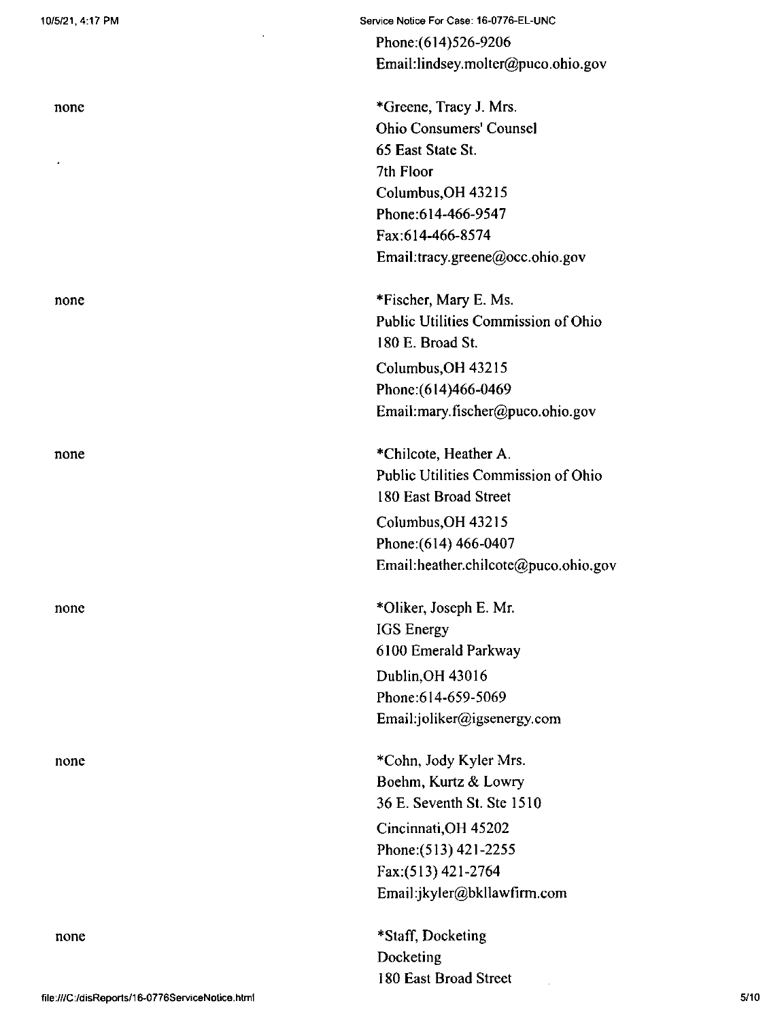none

none

none

none

none

Phone;(614)526-9206 Email:lindsey.molter@puco.ohio.gov

\*Greene, Tracy J. Mrs. Ohio Consumers' Counsel 65 East State St. 7th Floor Columbus,OH 43215 Phone:614-466-9547 Fax:614-466-8574 Email:tracy.greene@occ.ohio.gov

\*Fischer, Mary E. Ms. Public Utilities Commission of Ohio 180 E. Broad St. Columbus,OH 43215 Phone:(614)466-0469

Email:mary.fischer@puco.ohio.gov

\*Chilcote, Heather A. Public Utilities Commission of Ohio 180 East Broad Street Columbus,OH 43215 Phone:(614) 466-0407 Email:heather.chilcote@puco.ohio.gov

\*01iker, Joseph E. Mr. IGS Energy 6100 Emerald Parkway Dublin,OH 43016 Phone:614-659-5069 Email:joliker@igsenergy.com

\*Cohn, Jody Kyler Mrs. Boehm, Kurtz & Lowry 36 E. Seventh St. Ste 1510

Cincinnati,OH 45202 Phone:(513) 421-2255 Fax:(513) 421-2764 Email:jkyler@bkllawfirm.com

\*Staff, Docketing Docketing 180 East Broad Street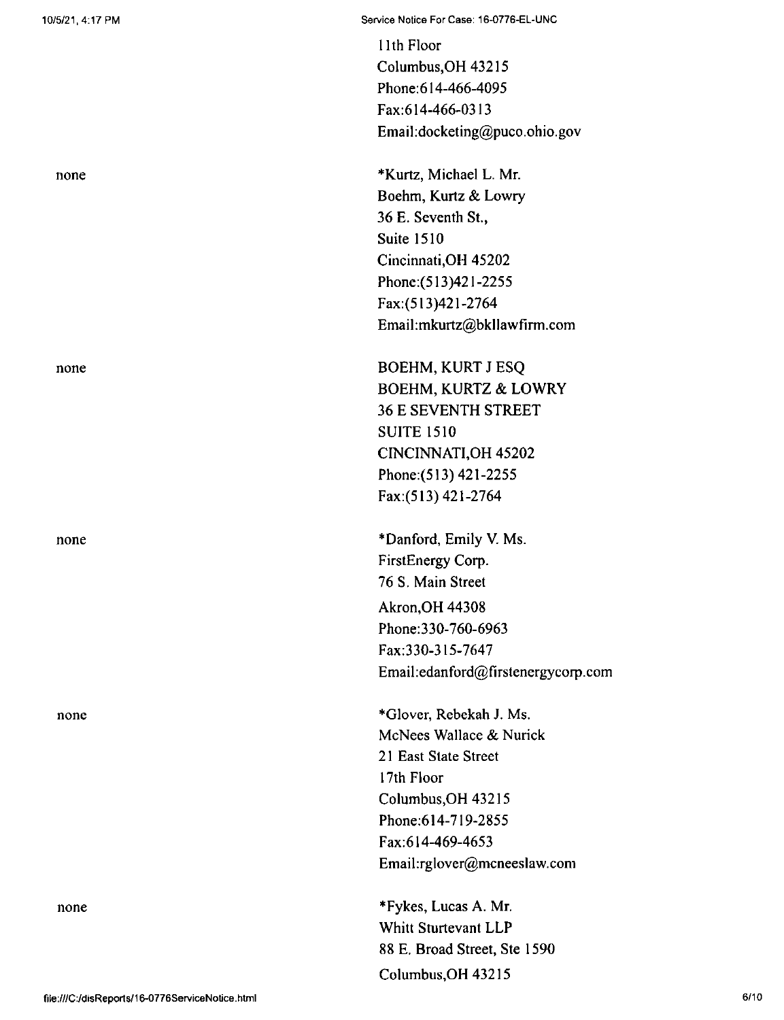none

none

none

none

11th Floor Columbus,OH 43215 Phone:614-466-4095 Fax:614-466-0313 Email:docketing@puco.ohio.gov

\*Kurtz, Michael L. Mr. Boehm, Kurtz & Lowry 36 E. Seventh St., Suite 1510 Cincinnati,OH 45202 Phone;(513)421-2255 Fax:(513)421-2764 Email:mkurtz@bkllawfirm.com

BOEHM, KURT J ESQ BOEHM, KURTZ & LOWRY 36 E SEVENTH STREET SUITE 1510 CINCINNATI,OH 45202 Phone:(513) 421-2255 Fax:(513) 421-2764

\*Danford, Emily V. Ms. FirstEnergy Corp. 76 S. Main Street Akron,OH 44308 Phone:330-760-6963 Fax:330-315-7647 Email:edanford@firstenergycorp.com

\*Glover, Rebekah J. Ms. McNees Wallace & Nurick 21 East Slate Street 17th Floor Columbus,OH 43215 Phone;614-719-2855 Fax:614-469-4653 Email:rglover@mcneeslaw.com

\*Fykes, Lucas A. Mr. Whitt Sturtevant LLP 88 E. Broad Street, Ste 1590 Columbus,OH 43215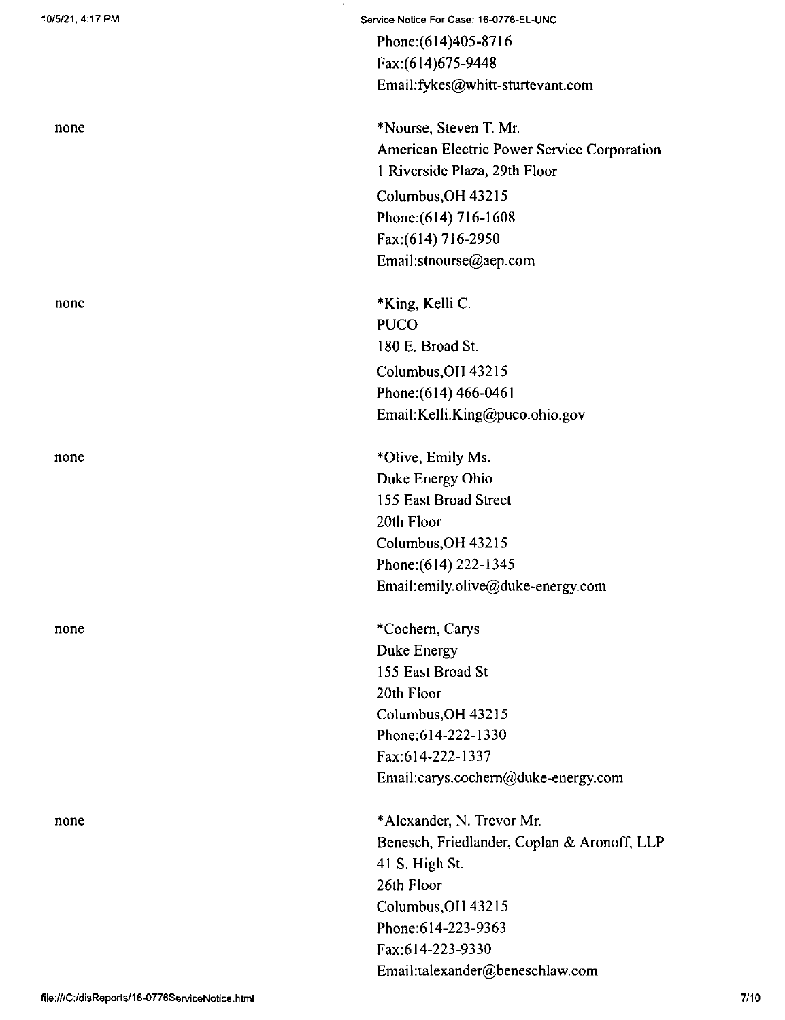none

none

none

none

Service Notice For Case: 16-0776-EL-UNC Phone:(614)405-8716 Fax:(614)675-9448 Email:fykes@whitt-sturtevant.com

\*Nourse, Steven T. Mr. American Electric Power Service Corporation <sup>1</sup> Riverside Plaza, 29th Floor

Columbus,OH 43215 Phone:(614) 716-1608 Fax:(614) 716-2950 Email:stnourse@aep.com

Columbus,OH 43215 Phone:(614) 466-0461 Email:KeIli.King@puco.ohio.gov \*King, Kelli C. PUCO 180 E. Broad St.

\*Olive, Emily Ms. Duke Energy Ohio 155 East Broad Street 20th Floor Columbus,OH 43215 Phone:(6l4) 222-1345 Email:emily.olive@duke-energy.com

\*Cochem, Carys Duke Energy 155 East Broad St 20th Floor Columbus,OH 43215 Phone;614-222-1330 Fax:614-222-1337 Email:carys.cochem@duke-energy.com

\*Alexander, N. Trevor Mr. Benesch, Friedlander, Coplan & Aronoff, LLP 41 S. High St. 26th Floor Columbus,OH 43215 Phone:614-223-9363 Fax;614-223-9330 Email:talexander@beneschlaw.com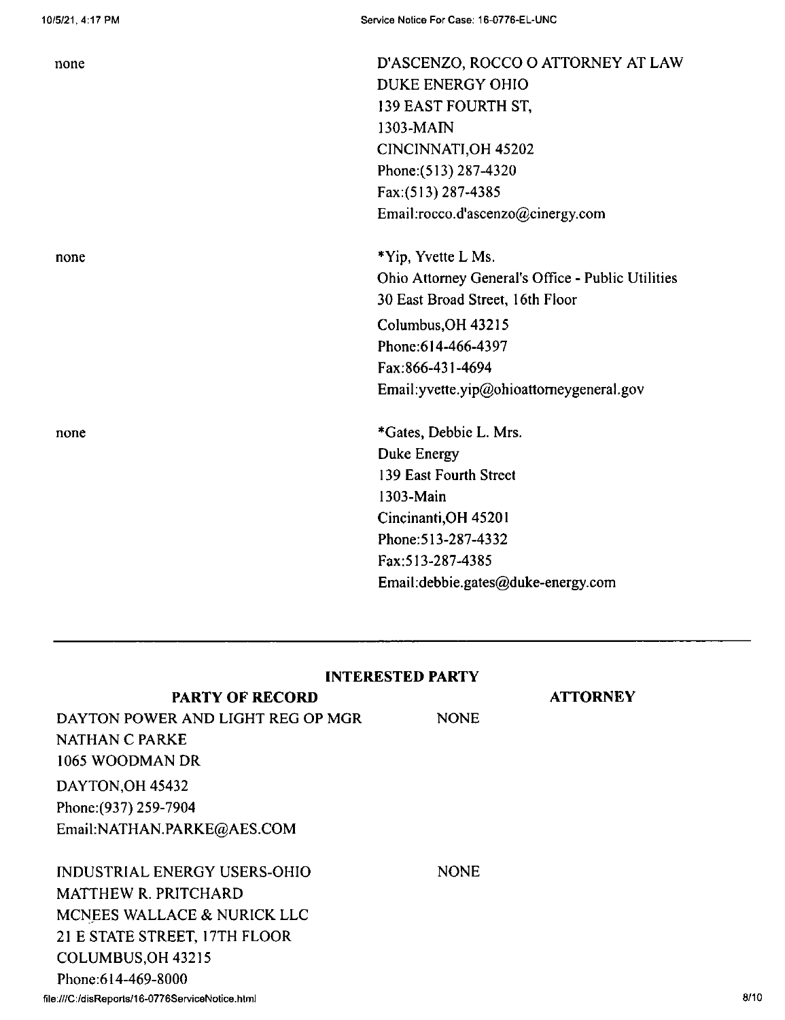| none | D'ASCENZO, ROCCO O ATTORNEY AT LAW                |
|------|---------------------------------------------------|
|      | DUKE ENERGY OHIO                                  |
|      | 139 EAST FOURTH ST,                               |
|      | 1303-MAIN                                         |
|      | CINCINNATI, OH 45202                              |
|      | Phone: (513) 287-4320                             |
|      | Fax:(513) 287-4385                                |
|      | Email:rocco.d'ascenzo@cinergy.com                 |
| none | *Yip, Yvette L Ms.                                |
|      | Ohio Attorney General's Office - Public Utilities |
|      | 30 East Broad Street, 16th Floor                  |
|      | Columbus, OH 43215                                |
|      | Phone: 614-466-4397                               |
|      | Fax:866-431-4694                                  |
|      | Email: yvette.yip@ohioattorneygeneral.gov         |
| none | *Gates, Debbie L. Mrs.                            |
|      | Duke Energy                                       |
|      | 139 East Fourth Street                            |
|      | 1303-Main                                         |
|      | Cincinanti, OH 45201                              |
|      | Phone: 513-287-4332                               |
|      | Fax:513-287-4385                                  |
|      | Email: debbie.gates@duke-energy.com               |
|      |                                                   |

| <b>INTERESTED PARTY</b> |  |
|-------------------------|--|
|                         |  |

| <b>PARTY OF RECORD</b>              |             | <b>ATTORNEY</b> |
|-------------------------------------|-------------|-----------------|
| DAYTON POWER AND LIGHT REG OP MGR   | <b>NONE</b> |                 |
| NATHAN C PARKE                      |             |                 |
| 1065 WOODMAN DR                     |             |                 |
| DAYTON, OH 45432                    |             |                 |
| Phone: (937) 259-7904               |             |                 |
| Email:NATHAN.PARKE@AES.COM          |             |                 |
|                                     |             |                 |
| <b>INDUSTRIAL ENERGY USERS-OHIO</b> | <b>NONE</b> |                 |
| MATTHEW R. PRITCHARD                |             |                 |
| MCNEES WALLACE & NURICK LLC         |             |                 |
| 21 E STATE STREET, 17TH FLOOR       |             |                 |
| COLUMBUS, OH 43215                  |             |                 |
| Phone: 614-469-8000                 |             |                 |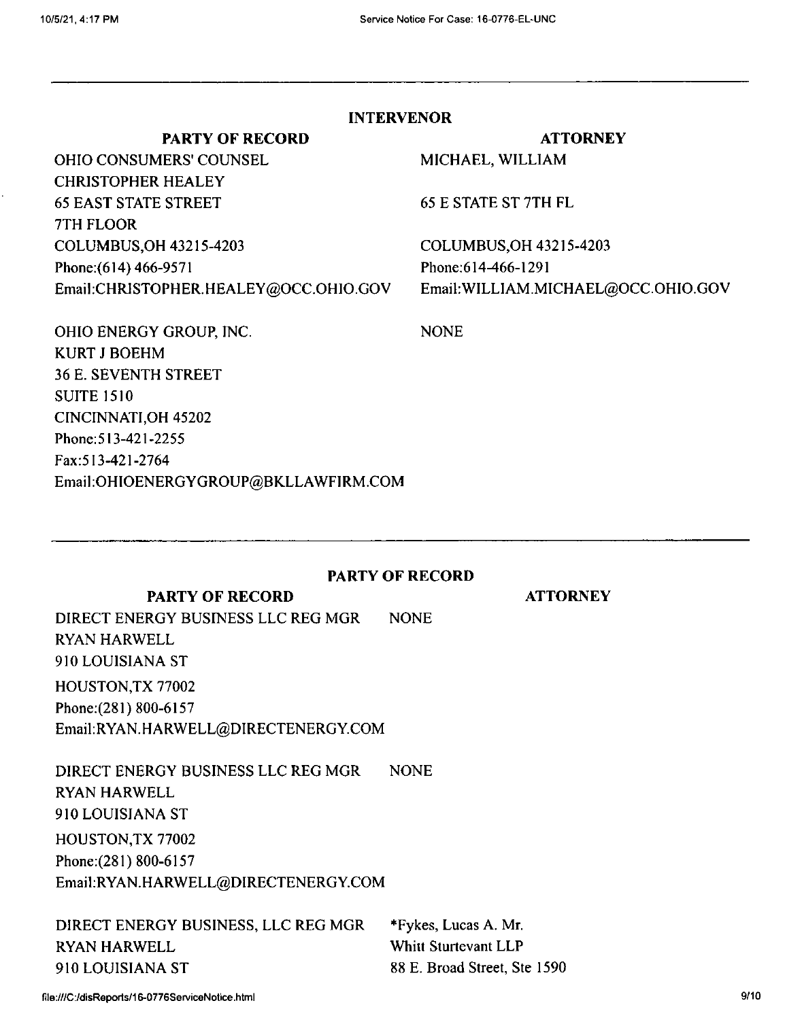**NONE** 

# **INTERVENOR**

### **PARTY OF RECORD**

OHIO CONSUMERS' COUNSEL CHRISTOPHER HEALEY 65 EAST STATE STREET 7TH FLOOR COLUMBUS,OH 43215-4203 Phone:{614) 466-9571 Email;CHRISTOPHER.HEALEY@OCC.OHIO.GOV

# **ATTORNEY**

MICHAEL, WILLIAM

65 E STATE ST 7TH FL

COLUMBUS,OH 43215-4203 Phone;614-466-1291 EmaikWILLIAM.MICHAEL@OCC.OHIO.GOV

**ATTORNEY**

OHIO ENERGY GROUP, INC. KURT J BOEHM 36 E. SEVENTH STREET SUITE 1510 CINCINNATI,OH 45202 Phone:513-421-2255 Fax:513-421-2764 Email:OHlOENERGYGROUP@BKLLAWFIRM.COM

## **PARTY OF RECORD**

## **PARTY OF RECORD**

NONE DIRECT ENERGY BUSINESS LLC REG MGR RYAN HARWELL 910 LOUISIANA ST HOUSTON,TX 77002 Phone;(281) 800-6157 Email:RYAN.HARWELL@DIRECTENERGY.COM

NONE HOUSTON,TX 77002 Phone: (281) 800-6157 Email:RYAN.HARWELL@DIRECTENERGY.COM DIRECT ENERGY BUSINESS LLC REG MGR RYAN HARWELL 910 LOUISIANA ST

DIRECT ENERGY BUSINESS, LLC REG MGR RYAN HARWELL 910 LOUISIANA ST

\*Fykes, Lucas A. Mr. Whitt Sturtevant LLP 88 E. Broad Street, Ste 1590

file:///C:/disReports/16-0776ServiceNotice.html 9/10